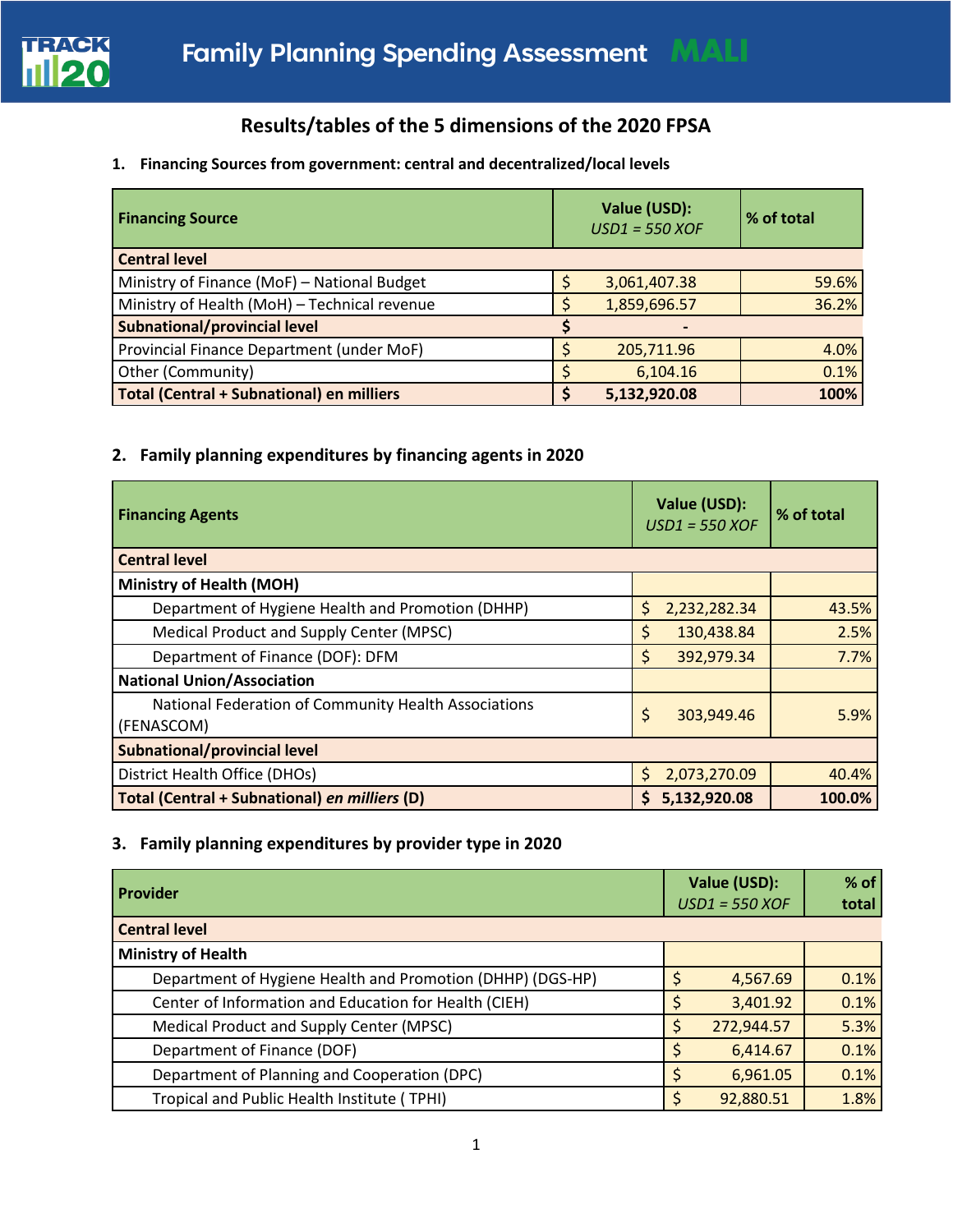

# **Results/tables of the 5 dimensions of the 2020 FPSA**

## **1. Financing Sources from government: central and decentralized/local levels**

| <b>Financing Source</b>                          | Value (USD):<br>$USD1 = 550 XOF$ | % of total |  |
|--------------------------------------------------|----------------------------------|------------|--|
| <b>Central level</b>                             |                                  |            |  |
| Ministry of Finance (MoF) - National Budget      | 3,061,407.38                     | 59.6%      |  |
| Ministry of Health (MoH) - Technical revenue     | 1,859,696.57                     | 36.2%      |  |
| <b>Subnational/provincial level</b>              |                                  |            |  |
| Provincial Finance Department (under MoF)        | 205,711.96                       | 4.0%       |  |
| Other (Community)                                | 6,104.16                         | 0.1%       |  |
| <b>Total (Central + Subnational) en milliers</b> | 5,132,920.08                     | 100%       |  |

## **2. Family planning expenditures by financing agents in 2020**

| <b>Financing Agents</b>                                            | Value (USD):<br>$USD1 = 550 XOF$ | % of total |
|--------------------------------------------------------------------|----------------------------------|------------|
| <b>Central level</b>                                               |                                  |            |
| <b>Ministry of Health (MOH)</b>                                    |                                  |            |
| Department of Hygiene Health and Promotion (DHHP)                  | 2,232,282.34<br>S                | 43.5%      |
| Medical Product and Supply Center (MPSC)                           | 130,438.84<br>\$                 | 2.5%       |
| Department of Finance (DOF): DFM                                   | \$<br>392,979.34                 | 7.7%       |
| <b>National Union/Association</b>                                  |                                  |            |
| National Federation of Community Health Associations<br>(FENASCOM) | \$<br>303,949.46                 | 5.9%       |
| <b>Subnational/provincial level</b>                                |                                  |            |
| District Health Office (DHOs)                                      | 2,073,270.09<br>S.               | 40.4%      |
| Total (Central + Subnational) en milliers (D)                      | 5,132,920.08<br>S.               | 100.0%     |

## **3. Family planning expenditures by provider type in 2020**

| Provider                                                   | Value (USD):<br>$USD1 = 550 XOF$ | $%$ of<br>total |
|------------------------------------------------------------|----------------------------------|-----------------|
| <b>Central level</b>                                       |                                  |                 |
| <b>Ministry of Health</b>                                  |                                  |                 |
| Department of Hygiene Health and Promotion (DHHP) (DGS-HP) | 4,567.69                         | 0.1%            |
| Center of Information and Education for Health (CIEH)      | 3,401.92                         | 0.1%            |
| Medical Product and Supply Center (MPSC)                   | 272,944.57                       | 5.3%            |
| Department of Finance (DOF)                                | 6,414.67                         | 0.1%            |
| Department of Planning and Cooperation (DPC)               | 6,961.05                         | 0.1%            |
| Tropical and Public Health Institute (TPHI)                | 92,880.51                        | 1.8%            |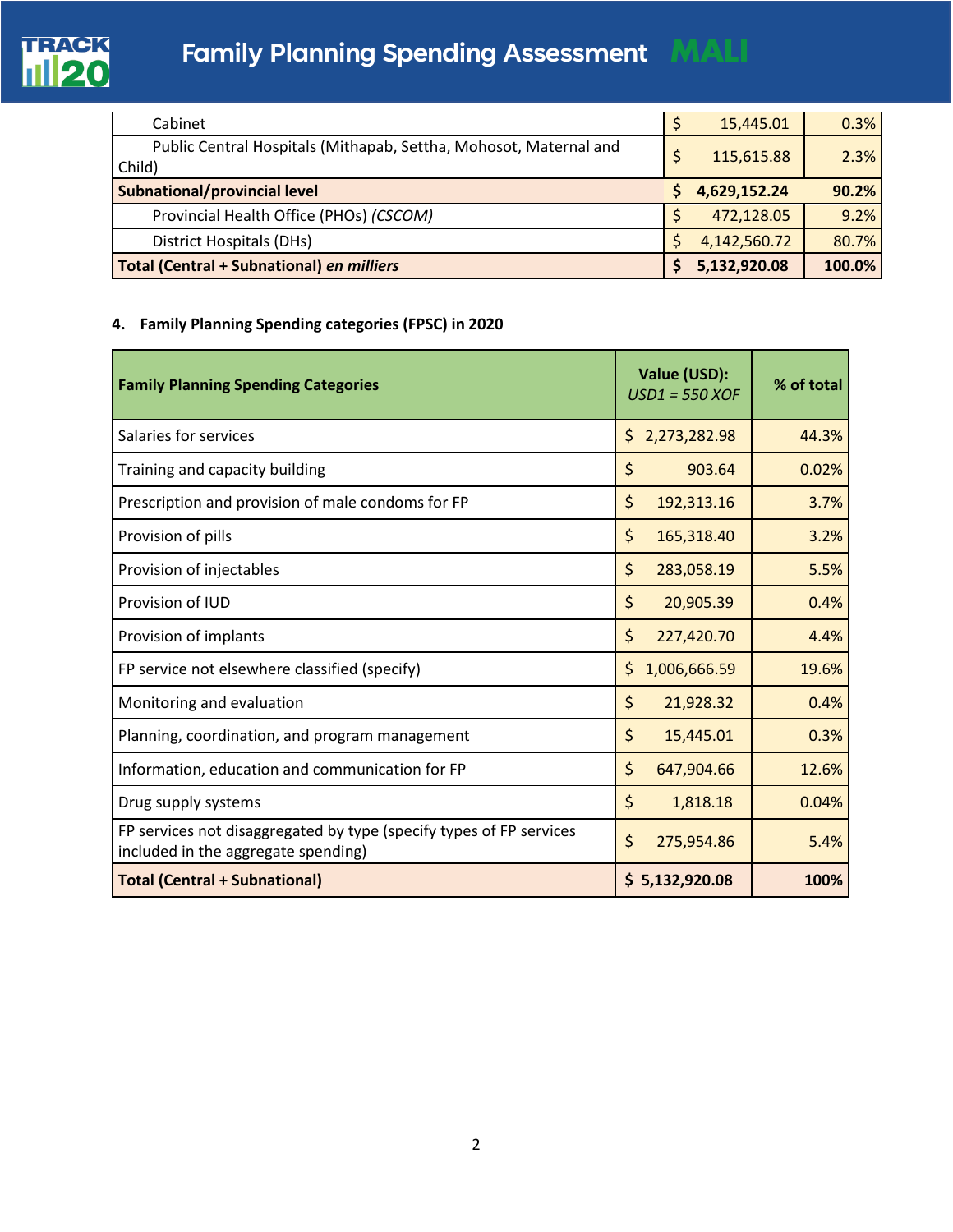

# **Family Planning Spending Assessment MALI**

| Cabinet                                                           | 15,445.01    | 0.3%   |
|-------------------------------------------------------------------|--------------|--------|
| Public Central Hospitals (Mithapab, Settha, Mohosot, Maternal and | 115,615.88   | 2.3%   |
| Child)                                                            |              |        |
| Subnational/provincial level                                      | 4,629,152.24 | 90.2%  |
| Provincial Health Office (PHOs) (CSCOM)                           | 472,128.05   | 9.2%   |
| District Hospitals (DHs)                                          | 4,142,560.72 | 80.7%  |
| <b>Total (Central + Subnational) en milliers</b>                  | 5,132,920.08 | 100.0% |

## **4. Family Planning Spending categories (FPSC) in 2020**

| <b>Family Planning Spending Categories</b>                                                                 | Value (USD):<br>$USD1 = 550 XOF$ | % of total |
|------------------------------------------------------------------------------------------------------------|----------------------------------|------------|
| Salaries for services                                                                                      | 2,273,282.98<br>\$               | 44.3%      |
| Training and capacity building                                                                             | \$<br>903.64                     | 0.02%      |
| Prescription and provision of male condoms for FP                                                          | \$<br>192,313.16                 | 3.7%       |
| Provision of pills                                                                                         | \$<br>165,318.40                 | 3.2%       |
| Provision of injectables                                                                                   | \$<br>283,058.19                 | 5.5%       |
| Provision of IUD                                                                                           | \$<br>20,905.39                  | 0.4%       |
| Provision of implants                                                                                      | \$<br>227,420.70                 | 4.4%       |
| FP service not elsewhere classified (specify)                                                              | \$<br>1,006,666.59               | 19.6%      |
| Monitoring and evaluation                                                                                  | \$<br>21,928.32                  | 0.4%       |
| Planning, coordination, and program management                                                             | \$<br>15,445.01                  | 0.3%       |
| Information, education and communication for FP                                                            | \$<br>647,904.66                 | 12.6%      |
| Drug supply systems                                                                                        | \$<br>1,818.18                   | 0.04%      |
| FP services not disaggregated by type (specify types of FP services<br>included in the aggregate spending) | $\zeta$<br>275,954.86            | 5.4%       |
| <b>Total (Central + Subnational)</b>                                                                       | 5,132,920.08<br>\$               | 100%       |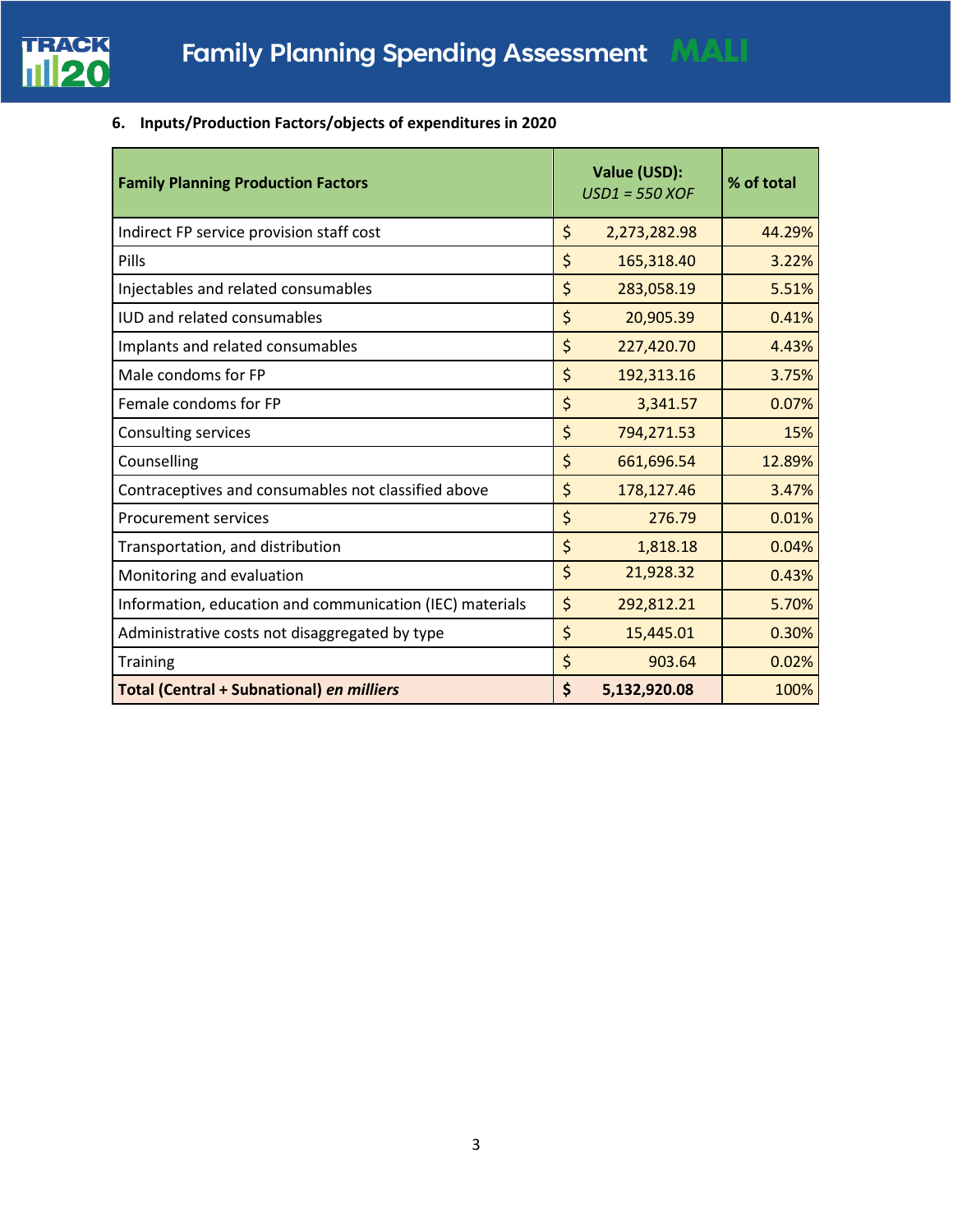

# **6. Inputs/Production Factors/objects of expenditures in 2020**

| <b>Family Planning Production Factors</b>                | Value (USD):<br>$USD1 = 550 XOF$ | % of total |
|----------------------------------------------------------|----------------------------------|------------|
| Indirect FP service provision staff cost                 | \$<br>2,273,282.98               | 44.29%     |
| Pills                                                    | \$<br>165,318.40                 | 3.22%      |
| Injectables and related consumables                      | \$<br>283,058.19                 | 5.51%      |
| <b>IUD and related consumables</b>                       | \$<br>20,905.39                  | 0.41%      |
| Implants and related consumables                         | \$<br>227,420.70                 | 4.43%      |
| Male condoms for FP                                      | \$<br>192,313.16                 | 3.75%      |
| Female condoms for FP                                    | \$<br>3,341.57                   | 0.07%      |
| Consulting services                                      | \$<br>794,271.53                 | 15%        |
| Counselling                                              | \$<br>661,696.54                 | 12.89%     |
| Contraceptives and consumables not classified above      | \$<br>178,127.46                 | 3.47%      |
| <b>Procurement services</b>                              | \$<br>276.79                     | 0.01%      |
| Transportation, and distribution                         | \$<br>1,818.18                   | 0.04%      |
| Monitoring and evaluation                                | \$<br>21,928.32                  | 0.43%      |
| Information, education and communication (IEC) materials | \$<br>292,812.21                 | 5.70%      |
| Administrative costs not disaggregated by type           | \$<br>15,445.01                  | 0.30%      |
| <b>Training</b>                                          | \$<br>903.64                     | 0.02%      |
| <b>Total (Central + Subnational) en milliers</b>         | \$<br>5,132,920.08               | 100%       |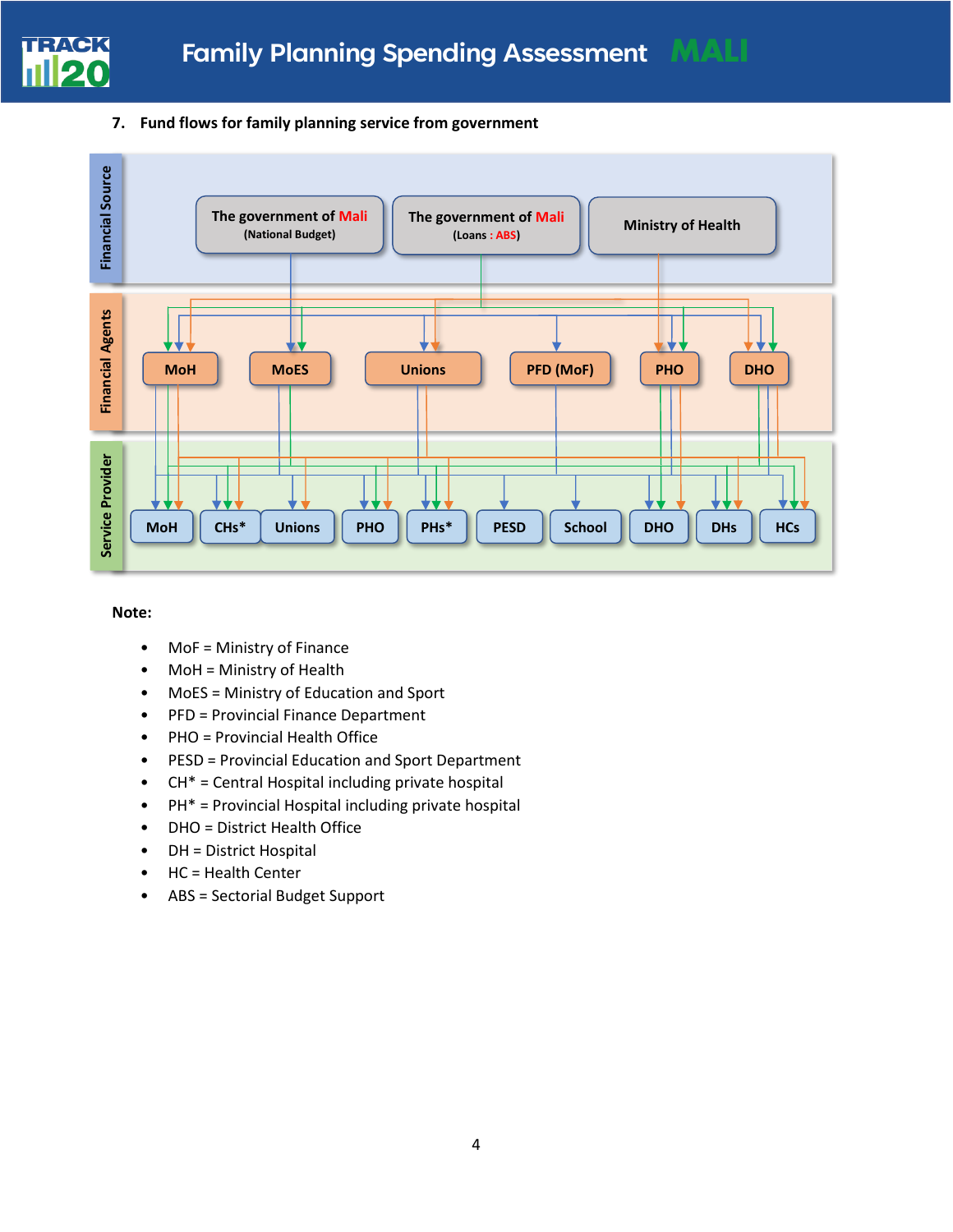

### **7. Fund flows for family planning service from government**



#### **Note:**

- MoF = Ministry of Finance
- MoH = Ministry of Health
- MoES = Ministry of Education and Sport
- PFD = Provincial Finance Department
- PHO = Provincial Health Office
- PESD = Provincial Education and Sport Department
- CH\* = Central Hospital including private hospital
- PH\* = Provincial Hospital including private hospital
- DHO = District Health Office
- DH = District Hospital
- HC = Health Center
- ABS = Sectorial Budget Support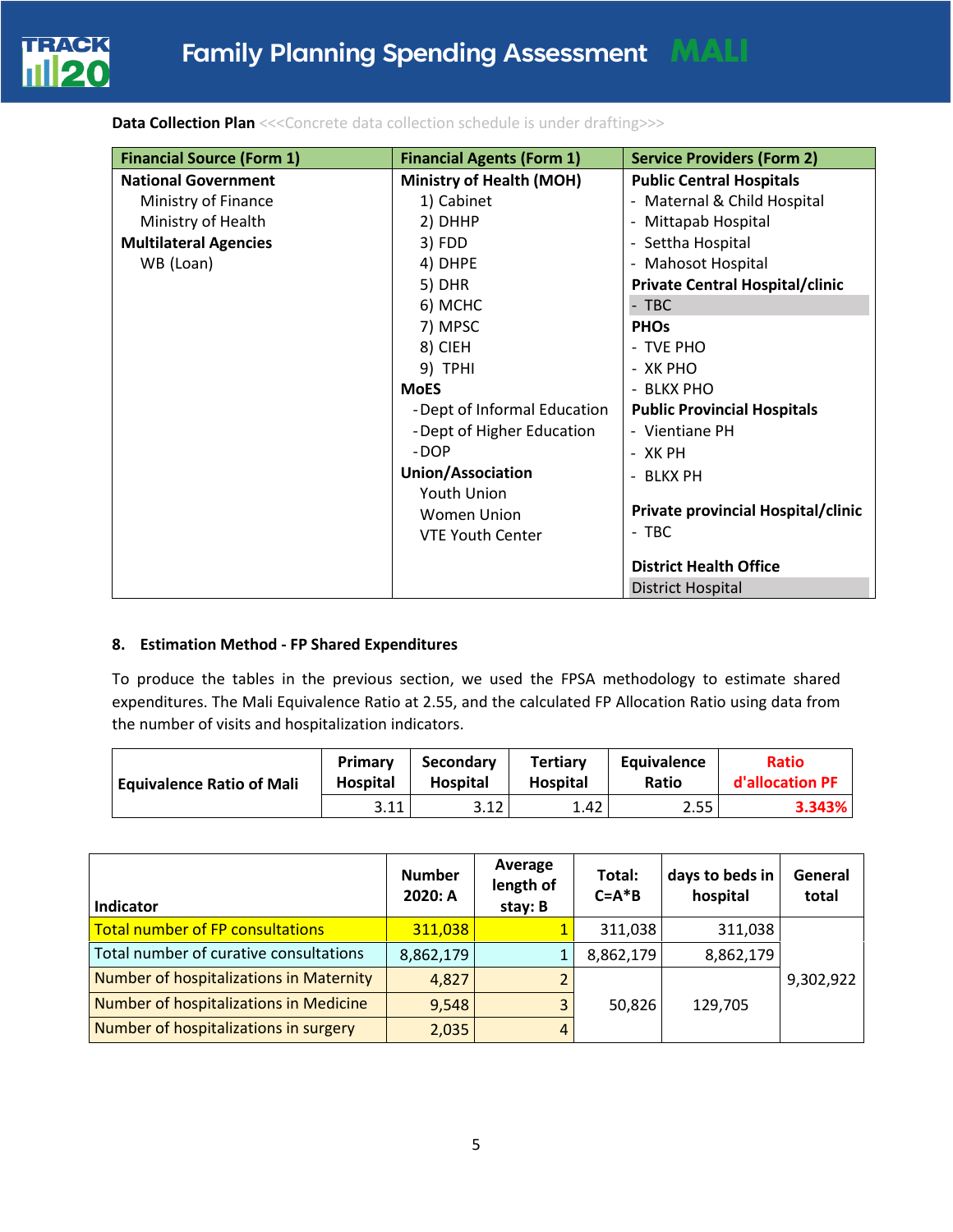

**Data Collection Plan** <<< Concrete data collection schedule is under drafting>>>

| <b>Financial Source (Form 1)</b> | <b>Financial Agents (Form 1)</b> | <b>Service Providers (Form 2)</b>  |
|----------------------------------|----------------------------------|------------------------------------|
| <b>National Government</b>       | <b>Ministry of Health (MOH)</b>  | <b>Public Central Hospitals</b>    |
| Ministry of Finance              | 1) Cabinet                       | - Maternal & Child Hospital        |
| Ministry of Health               | 2) DHHP                          | - Mittapab Hospital                |
| <b>Multilateral Agencies</b>     | 3) FDD                           | - Settha Hospital                  |
| WB (Loan)                        | 4) DHPE                          | - Mahosot Hospital                 |
|                                  | 5) DHR                           | Private Central Hospital/clinic    |
|                                  | 6) MCHC                          | $-$ TBC                            |
|                                  | 7) MPSC                          | <b>PHOs</b>                        |
|                                  | 8) CIEH                          | - TVE PHO                          |
|                                  | 9) TPHI                          | - XK PHO                           |
|                                  | <b>MoES</b>                      | - BLKX PHO                         |
|                                  | - Dept of Informal Education     | <b>Public Provincial Hospitals</b> |
|                                  | - Dept of Higher Education       | - Vientiane PH                     |
|                                  | -DOP                             | - XK PH                            |
|                                  | <b>Union/Association</b>         | - BLKX PH                          |
|                                  | Youth Union                      |                                    |
|                                  | Women Union                      | Private provincial Hospital/clinic |
|                                  | <b>VTE Youth Center</b>          | - TBC                              |
|                                  |                                  | <b>District Health Office</b>      |
|                                  |                                  | <b>District Hospital</b>           |

### **8. Estimation Method - FP Shared Expenditures**

To produce the tables in the previous section, we used the FPSA methodology to estimate shared expenditures. The Mali Equivalence Ratio at 2.55, and the calculated FP Allocation Ratio using data from the number of visits and hospitalization indicators.

| <b>Equivalence Ratio of Mali</b> | <b>Primary</b><br><b>Hospital</b> | <b>Secondary</b><br><b>Hospital</b> | <b>Tertiary</b><br><b>Hospital</b> | Equivalence<br>Ratio | <b>Ratio</b><br>d'allocation PF |  |
|----------------------------------|-----------------------------------|-------------------------------------|------------------------------------|----------------------|---------------------------------|--|
|                                  | 3.11                              | 3.12                                | 1.42                               | 2.55                 | 3.343%                          |  |

| <b>Indicator</b>                        | <b>Number</b><br>2020: A | Average<br>length of<br>stay: B | Total:<br>$C = A * B$ | days to beds in<br>hospital | General<br>total |
|-----------------------------------------|--------------------------|---------------------------------|-----------------------|-----------------------------|------------------|
| <b>Total number of FP consultations</b> | 311,038                  |                                 | 311,038               | 311,038                     |                  |
| Total number of curative consultations  | 8,862,179                |                                 | 8,862,179             | 8,862,179                   |                  |
| Number of hospitalizations in Maternity | 4,827                    |                                 |                       |                             | 9,302,922        |
| Number of hospitalizations in Medicine  | 9,548                    |                                 | 50,826                | 129,705                     |                  |
| Number of hospitalizations in surgery   | 2,035                    | $\overline{4}$                  |                       |                             |                  |